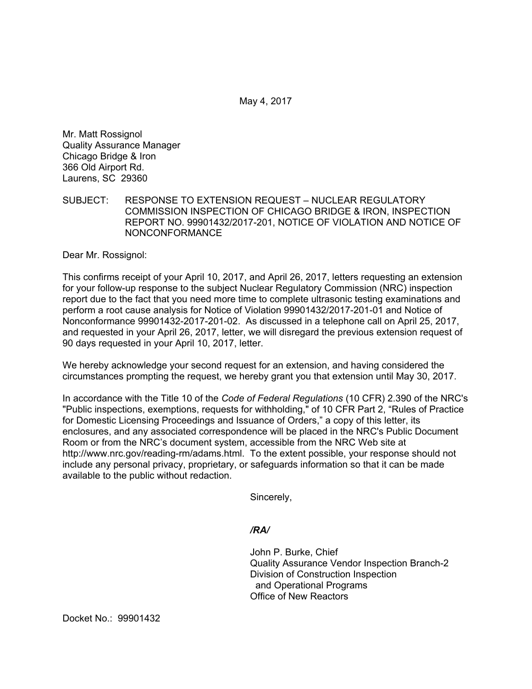May 4, 2017

Mr. Matt Rossignol Quality Assurance Manager Chicago Bridge & Iron 366 Old Airport Rd. Laurens, SC 29360

SUBJECT: RESPONSE TO EXTENSION REQUEST – NUCLEAR REGULATORY COMMISSION INSPECTION OF CHICAGO BRIDGE & IRON, INSPECTION REPORT NO. 99901432/2017-201, NOTICE OF VIOLATION AND NOTICE OF NONCONFORMANCE

Dear Mr. Rossignol:

This confirms receipt of your April 10, 2017, and April 26, 2017, letters requesting an extension for your follow-up response to the subject Nuclear Regulatory Commission (NRC) inspection report due to the fact that you need more time to complete ultrasonic testing examinations and perform a root cause analysis for Notice of Violation 99901432/2017-201-01 and Notice of Nonconformance 99901432-2017-201-02. As discussed in a telephone call on April 25, 2017, and requested in your April 26, 2017, letter, we will disregard the previous extension request of 90 days requested in your April 10, 2017, letter.

We hereby acknowledge your second request for an extension, and having considered the circumstances prompting the request, we hereby grant you that extension until May 30, 2017.

In accordance with the Title 10 of the *Code of Federal Regulations* (10 CFR) 2.390 of the NRC's "Public inspections, exemptions, requests for withholding," of 10 CFR Part 2, "Rules of Practice for Domestic Licensing Proceedings and Issuance of Orders," a copy of this letter, its enclosures, and any associated correspondence will be placed in the NRC's Public Document Room or from the NRC's document system, accessible from the NRC Web site at http://www.nrc.gov/reading-rm/adams.html. To the extent possible, your response should not include any personal privacy, proprietary, or safeguards information so that it can be made available to the public without redaction.

Sincerely,

*/RA/* 

John P. Burke, Chief Quality Assurance Vendor Inspection Branch-2 Division of Construction Inspection and Operational Programs Office of New Reactors

Docket No.: 99901432